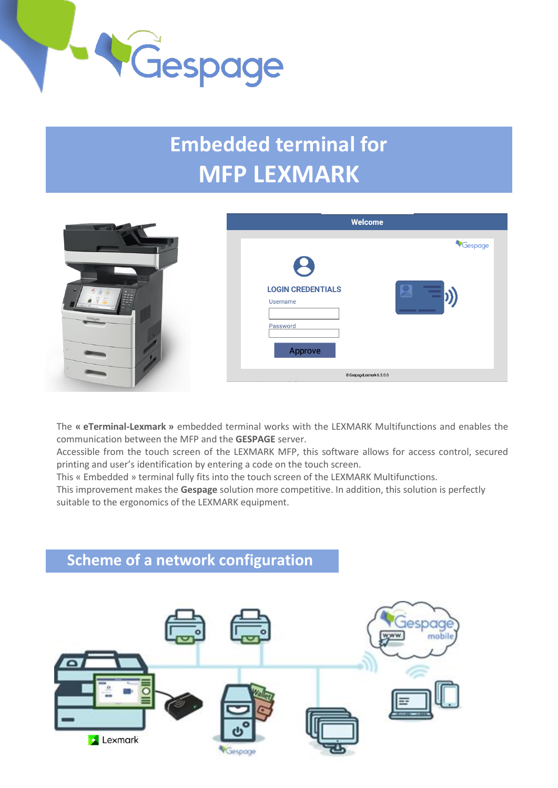

# **Embedded terminal for MFP LEXMARK**

| $-1$                                                                        | Welcome                                                                     |
|-----------------------------------------------------------------------------|-----------------------------------------------------------------------------|
| $\begin{bmatrix} 1 & 0 \\ 0 & 0 \\ 0 & 0 \\ 0 & 0 \end{bmatrix}$<br>LEXMARK | Gespage<br>B<br><b>LOGIN CREDENTIALS</b><br>Username<br>Password<br>Approve |
|                                                                             | C GespageLexmark 6.3.0.0                                                    |

The **« eTerminal-Lexmark »** embedded terminal works with the LEXMARK Multifunctions and enables the communication between the MFP and the **GESPAGE** server.

Accessible from the touch screen of the LEXMARK MFP, this software allows for access control, secured printing and user's identification by entering a code on the touch screen.

This « Embedded » terminal fully fits into the touch screen of the LEXMARK Multifunctions.

This improvement makes the **Gespage** solution more competitive. In addition, this solution is perfectly suitable to the ergonomics of the LEXMARK equipment.

### **Scheme of a network configuration**